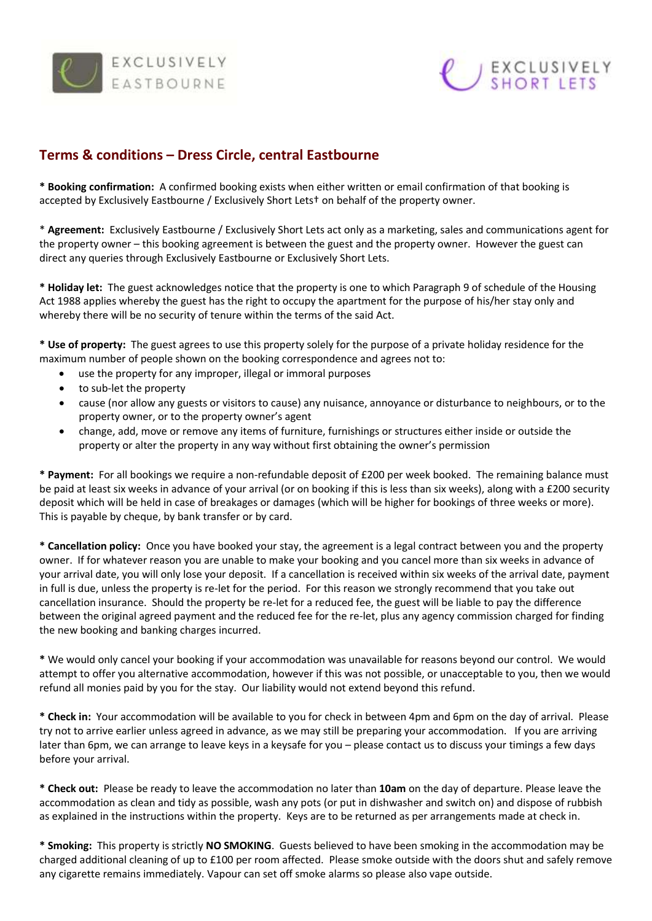



## **Terms & conditions – Dress Circle, central Eastbourne**

**\* Booking confirmation:** A confirmed booking exists when either written or email confirmation of that booking is accepted by Exclusively Eastbourne / Exclusively Short Lets† on behalf of the property owner.

\* **Agreement:** Exclusively Eastbourne / Exclusively Short Lets act only as a marketing, sales and communications agent for the property owner – this booking agreement is between the guest and the property owner. However the guest can direct any queries through Exclusively Eastbourne or Exclusively Short Lets.

**\* Holiday let:** The guest acknowledges notice that the property is one to which Paragraph 9 of schedule of the Housing Act 1988 applies whereby the guest has the right to occupy the apartment for the purpose of his/her stay only and whereby there will be no security of tenure within the terms of the said Act.

**\* Use of property:** The guest agrees to use this property solely for the purpose of a private holiday residence for the maximum number of people shown on the booking correspondence and agrees not to:

- use the property for any improper, illegal or immoral purposes
- to sub-let the property
- cause (nor allow any guests or visitors to cause) any nuisance, annoyance or disturbance to neighbours, or to the property owner, or to the property owner's agent
- change, add, move or remove any items of furniture, furnishings or structures either inside or outside the property or alter the property in any way without first obtaining the owner's permission

**\* Payment:** For all bookings we require a non-refundable deposit of £200 per week booked. The remaining balance must be paid at least six weeks in advance of your arrival (or on booking if this is less than six weeks), along with a £200 security deposit which will be held in case of breakages or damages (which will be higher for bookings of three weeks or more). This is payable by cheque, by bank transfer or by card.

**\* Cancellation policy:** Once you have booked your stay, the agreement is a legal contract between you and the property owner. If for whatever reason you are unable to make your booking and you cancel more than six weeks in advance of your arrival date, you will only lose your deposit. If a cancellation is received within six weeks of the arrival date, payment in full is due, unless the property is re-let for the period. For this reason we strongly recommend that you take out cancellation insurance. Should the property be re-let for a reduced fee, the guest will be liable to pay the difference between the original agreed payment and the reduced fee for the re-let, plus any agency commission charged for finding the new booking and banking charges incurred.

**\*** We would only cancel your booking if your accommodation was unavailable for reasons beyond our control. We would attempt to offer you alternative accommodation, however if this was not possible, or unacceptable to you, then we would refund all monies paid by you for the stay. Our liability would not extend beyond this refund.

**\* Check in:** Your accommodation will be available to you for check in between 4pm and 6pm on the day of arrival. Please try not to arrive earlier unless agreed in advance, as we may still be preparing your accommodation. If you are arriving later than 6pm, we can arrange to leave keys in a keysafe for you – please contact us to discuss your timings a few days before your arrival.

**\* Check out:** Please be ready to leave the accommodation no later than **10am** on the day of departure. Please leave the accommodation as clean and tidy as possible, wash any pots (or put in dishwasher and switch on) and dispose of rubbish as explained in the instructions within the property. Keys are to be returned as per arrangements made at check in.

**\* Smoking:** This property is strictly **NO SMOKING**. Guests believed to have been smoking in the accommodation may be charged additional cleaning of up to £100 per room affected. Please smoke outside with the doors shut and safely remove any cigarette remains immediately. Vapour can set off smoke alarms so please also vape outside.